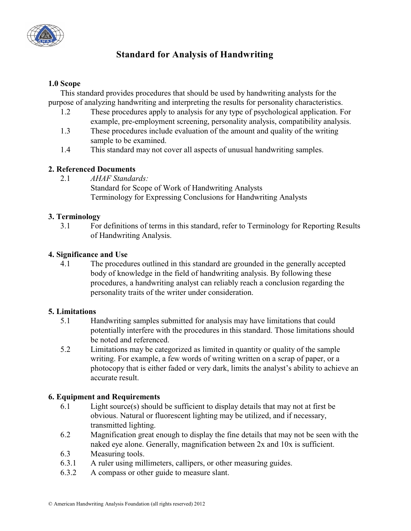

# **Standard for Analysis of Handwriting**

#### **1.0 Scope**

This standard provides procedures that should be used by handwriting analysts for the purpose of analyzing handwriting and interpreting the results for personality characteristics.

- 1.2 These procedures apply to analysis for any type of psychological application. For example, pre-employment screening, personality analysis, compatibility analysis.
- 1.3 These procedures include evaluation of the amount and quality of the writing sample to be examined.
- 1.4 This standard may not cover all aspects of unusual handwriting samples.

## **2. Referenced Documents**

2.1 *AHAF Standards:*

Standard for Scope of Work of Handwriting Analysts Terminology for Expressing Conclusions for Handwriting Analysts

### **3. Terminology**

3.1 For definitions of terms in this standard, refer to Terminology for Reporting Results of Handwriting Analysis.

### **4. Significance and Use**

4.1 The procedures outlined in this standard are grounded in the generally accepted body of knowledge in the field of handwriting analysis. By following these procedures, a handwriting analyst can reliably reach a conclusion regarding the personality traits of the writer under consideration.

### **5. Limitations**

- 5.1 Handwriting samples submitted for analysis may have limitations that could potentially interfere with the procedures in this standard. Those limitations should be noted and referenced.
- 5.2 Limitations may be categorized as limited in quantity or quality of the sample writing. For example, a few words of writing written on a scrap of paper, or a photocopy that is either faded or very dark, limits the analyst's ability to achieve an accurate result.

### **6. Equipment and Requirements**

- 6.1 Light source(s) should be sufficient to display details that may not at first be obvious. Natural or fluorescent lighting may be utilized, and if necessary, transmitted lighting.
- 6.2 Magnification great enough to display the fine details that may not be seen with the naked eye alone. Generally, magnification between 2x and 10x is sufficient.
- 6.3 Measuring tools.
- 6.3.1 A ruler using millimeters, callipers, or other measuring guides.
- 6.3.2 A compass or other guide to measure slant.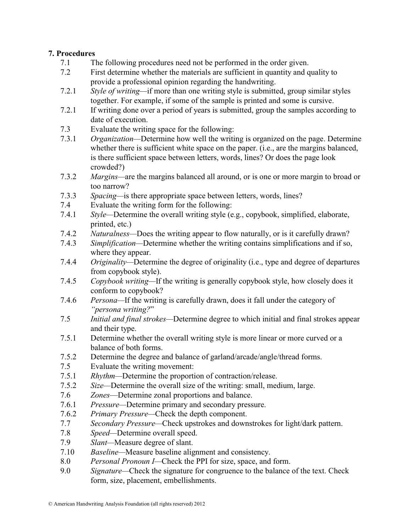### **7. Procedures**

- 7.1 The following procedures need not be performed in the order given.
- 7.2 First determine whether the materials are sufficient in quantity and quality to provide a professional opinion regarding the handwriting.
- 7.2.1 *Style of writing—*if more than one writing style is submitted, group similar styles together. For example, if some of the sample is printed and some is cursive.
- 7.2.1 If writing done over a period of years is submitted, group the samples according to date of execution.
- 7.3 Evaluate the writing space for the following:
- 7.3.1 *Organization—*Determine how well the writing is organized on the page. Determine whether there is sufficient white space on the paper. (i.e., are the margins balanced, is there sufficient space between letters, words, lines? Or does the page look crowded?)
- 7.3.2 *Margins—*are the margins balanced all around, or is one or more margin to broad or too narrow?
- 7.3.3 *Spacing—*is there appropriate space between letters, words, lines?
- 7.4 Evaluate the writing form for the following:
- 7.4.1 *Style—*Determine the overall writing style (e.g., copybook, simplified, elaborate, printed, etc.)
- 7.4.2 *Naturalness—*Does the writing appear to flow naturally, or is it carefully drawn?
- 7.4.3 *Simplification—*Determine whether the writing contains simplifications and if so, where they appear.
- 7.4.4 *Originality—*Determine the degree of originality (i.e., type and degree of departures from copybook style).
- 7.4.5 *Copybook writing—*If the writing is generally copybook style, how closely does it conform to copybook?
- 7.4.6 *Persona—*If the writing is carefully drawn, does it fall under the category of *"persona writing?*"
- 7.5 *Initial and final strokes—*Determine degree to which initial and final strokes appear and their type.
- 7.5.1 Determine whether the overall writing style is more linear or more curved or a balance of both forms.
- 7.5.2 Determine the degree and balance of garland/arcade/angle/thread forms.
- 7.5 Evaluate the writing movement:
- 7.5.1 *Rhythm—*Determine the proportion of contraction/release.
- 7.5.2 *Size—*Determine the overall size of the writing: small, medium, large.
- 7.6 *Zones*—Determine zonal proportions and balance.
- 7.6.1 *Pressure—*Determine primary and secondary pressure.
- 7.6.2 *Primary Pressure—*Check the depth component.
- 7.7 *Secondary Pressure—*Check upstrokes and downstrokes for light/dark pattern.
- 7.8 *Speed—*Determine overall speed.
- 7.9 *Slant—*Measure degree of slant.
- 7.10 *Baseline—*Measure baseline alignment and consistency.
- 8.0 *Personal Pronoun I—*Check the PPI for size, space, and form.
- 9.0 *Signature—*Check the signature for congruence to the balance of the text. Check form, size, placement, embellishments.